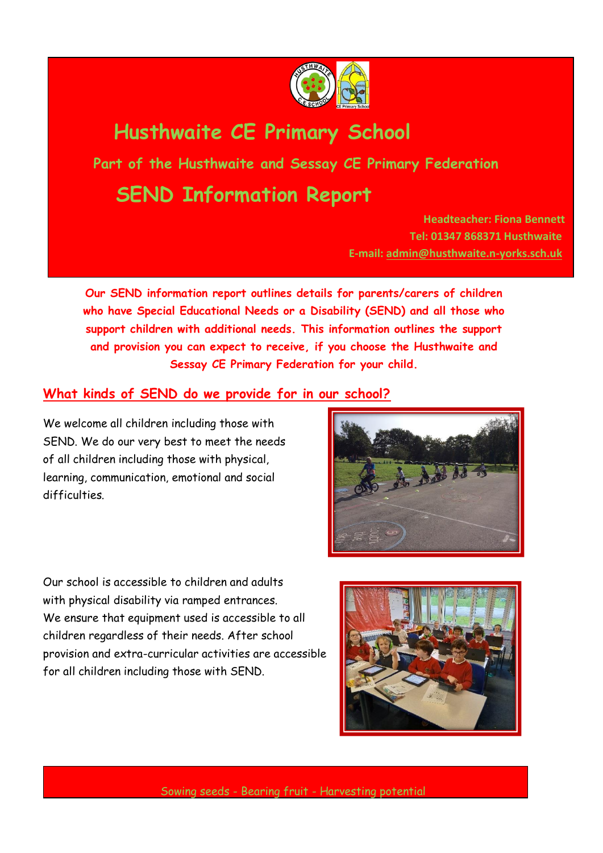

# **Husthwaite CE Primary School**

**Part of the Husthwaite and Sessay CE Primary Federation**

# **SEND Information Report**

**Headteacher: Fiona Bennett Tel: 01347 868371 Husthwaite E-mail: [admin@husthwaite.n-yorks.sch.uk](mailto:admin@husthwaite.n-yorks.sch.uk)**

**Our SEND information report outlines details for parents/carers of children who have Special Educational Needs or a Disability (SEND) and all those who support children with additional needs. This information outlines the support and provision you can expect to receive, if you choose the Husthwaite and Sessay CE Primary Federation for your child.**

### **What kinds of SEND do we provide for in our school?**

We welcome all children including those with SEND. We do our very best to meet the needs of all children including those with physical, learning, communication, emotional and social difficulties.





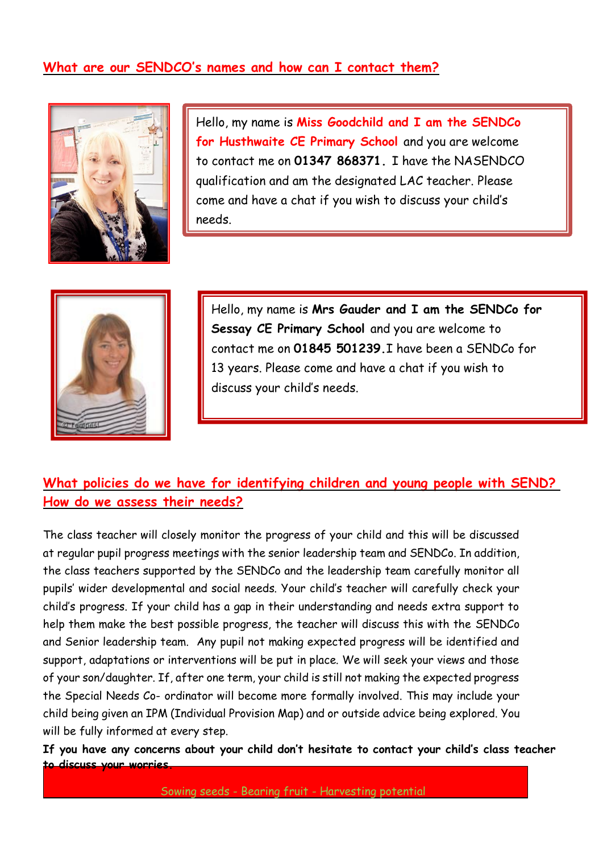### **What are our SENDCO's names and how can I contact them?**



Hello, my name is **Miss Goodchild and I am the SENDCo for Husthwaite CE Primary School** and you are welcome to contact me on **01347 868371.** I have the NASENDCO qualification and am the designated LAC teacher. Please come and have a chat if you wish to discuss your child's needs.



Hello, my name is **Mrs Gauder and I am the SENDCo for Sessay CE Primary School** and you are welcome to contact me on **01845 501239.**I have been a SENDCo for 13 years. Please come and have a chat if you wish to discuss your child's needs.

## **What policies do we have for identifying children and young people with SEND? How do we assess their needs?**

The class teacher will closely monitor the progress of your child and this will be discussed at regular pupil progress meetings with the senior leadership team and SENDCo. In addition, the class teachers supported by the SENDCo and the leadership team carefully monitor all pupils' wider developmental and social needs. Your child's teacher will carefully check your child's progress. If your child has a gap in their understanding and needs extra support to help them make the best possible progress, the teacher will discuss this with the SENDCo and Senior leadership team. Any pupil not making expected progress will be identified and support, adaptations or interventions will be put in place. We will seek your views and those of your son/daughter. If, after one term, your child is still not making the expected progress the Special Needs Co- ordinator will become more formally involved. This may include your child being given an IPM (Individual Provision Map) and or outside advice being explored. You will be fully informed at every step.

**If you have any concerns about your child don't hesitate to contact your child's class teacher to discuss your worries.**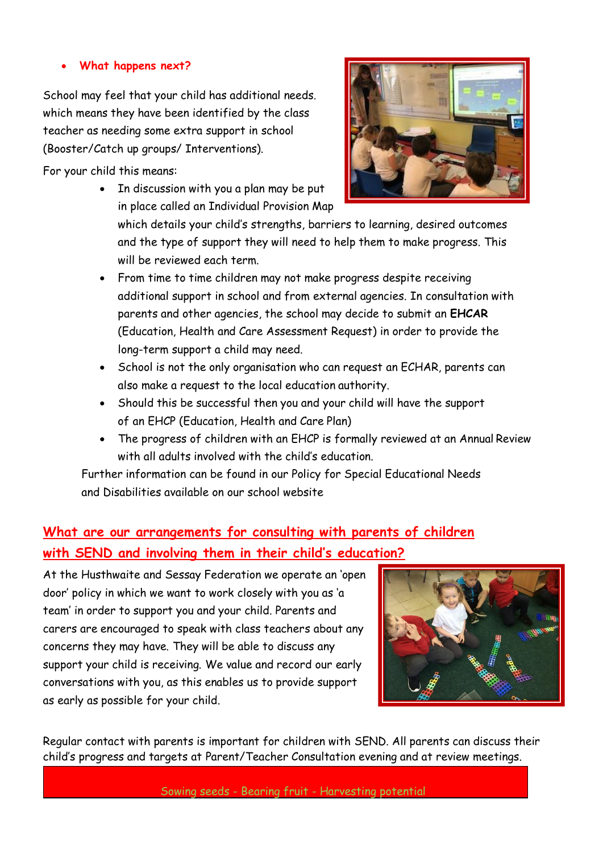#### • **What happens next?**

School may feel that your child has additional needs. which means they have been identified by the class teacher as needing some extra support in school (Booster/Catch up groups/ Interventions).

For your child this means:

• In discussion with you a plan may be put in place called an Individual Provision Map



which details your child's strengths, barriers to learning, desired outcomes and the type of support they will need to help them to make progress. This will be reviewed each term.

- From time to time children may not make progress despite receiving additional support in school and from external agencies. In consultation with parents and other agencies, the school may decide to submit an **EHCAR**  (Education, Health and Care Assessment Request) in order to provide the long-term support a child may need.
- School is not the only organisation who can request an ECHAR, parents can also make a request to the local education authority.
- Should this be successful then you and your child will have the support of an EHCP (Education, Health and Care Plan)
- The progress of children with an EHCP is formally reviewed at an Annual Review with all adults involved with the child's education.

Further information can be found in our Policy for Special Educational Needs and Disabilities available on our school website

# **What are our arrangements for consulting with parents of children with SEND and involving them in their child's education?**

At the Husthwaite and Sessay Federation we operate an 'open door' policy in which we want to work closely with you as 'a team' in order to support you and your child. Parents and carers are encouraged to speak with class teachers about any concerns they may have. They will be able to discuss any support your child is receiving. We value and record our early conversations with you, as this enables us to provide support as early as possible for your child.



Regular contact with parents is important for children with SEND. All parents can discuss their child's progress and targets at Parent/Teacher Consultation evening and at review meetings.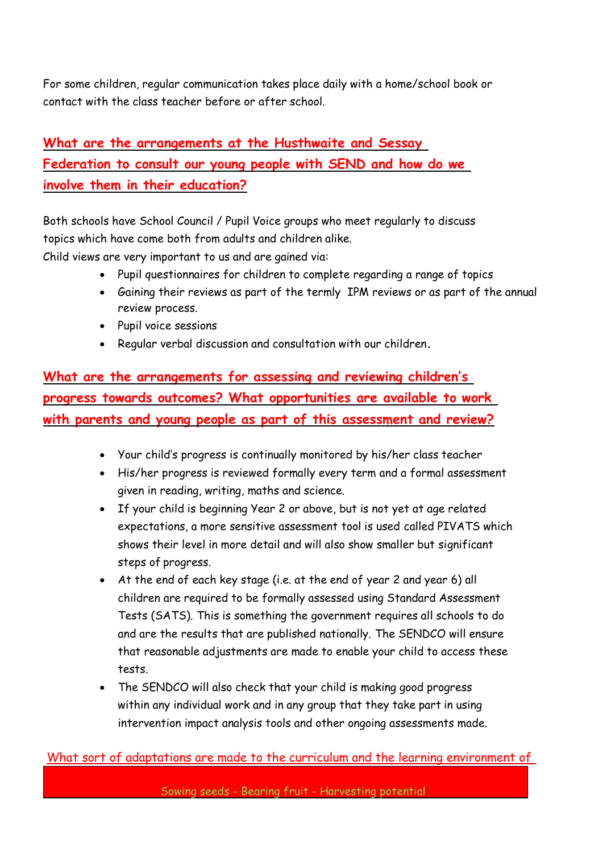For some children, regular communication takes place daily with a home/school book or contact with the class teacher before or after school.

# **What are the arrangements at the Husthwaite and Sessay Federation to consult our young people with SEND and how do we involve them in their education?**

Both schools have School Council / Pupil Voice groups who meet regularly to discuss topics which have come both from adults and children alike.

Child views are very important to us and are gained via:

- Pupil questionnaires for children to complete regarding a range of topics
- Gaining their reviews as part of the termly IPM reviews or as part of the annual review process.
- Pupil voice sessions
- Regular verbal discussion and consultation with our children**.**

**What are the arrangements for assessing and reviewing children's progress towards outcomes? What opportunities are available to work with parents and young people as part of this assessment and review?**

- Your child's progress is continually monitored by his/her class teacher
- His/her progress is reviewed formally every term and a formal assessment given in reading, writing, maths and science.
- If your child is beginning Year 2 or above, but is not yet at age related expectations, a more sensitive assessment tool is used called PIVATS which shows their level in more detail and will also show smaller but significant steps of progress.
- At the end of each key stage (i.e. at the end of year 2 and year 6) all children are required to be formally assessed using Standard Assessment Tests (SATS). This is something the government requires all schools to do and are the results that are published nationally. The SENDCO will ensure that reasonable adjustments are made to enable your child to access these tests.
- The SENDCO will also check that your child is making good progress within any individual work and in any group that they take part in using intervention impact analysis tools and other ongoing assessments made.

### What sort of adaptations are made to the curriculum and the learning environment of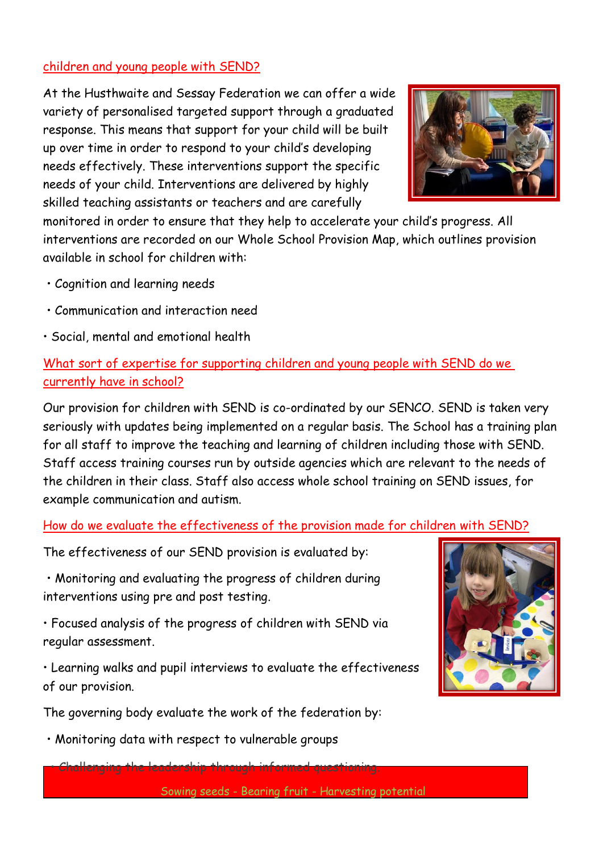### children and young people with SEND?

At the Husthwaite and Sessay Federation we can offer a wide variety of personalised targeted support through a graduated response. This means that support for your child will be built up over time in order to respond to your child's developing needs effectively. These interventions support the specific needs of your child. Interventions are delivered by highly skilled teaching assistants or teachers and are carefully



monitored in order to ensure that they help to accelerate your child's progress. All interventions are recorded on our Whole School Provision Map, which outlines provision available in school for children with:

- Cognition and learning needs
- Communication and interaction need
- Social, mental and emotional health

## What sort of expertise for supporting children and young people with SEND do we currently have in school?

Our provision for children with SEND is co-ordinated by our SENCO. SEND is taken very seriously with updates being implemented on a regular basis. The School has a training plan for all staff to improve the teaching and learning of children including those with SEND. Staff access training courses run by outside agencies which are relevant to the needs of the children in their class. Staff also access whole school training on SEND issues, for example communication and autism.

### How do we evaluate the effectiveness of the provision made for children with SEND?

The effectiveness of our SEND provision is evaluated by:

• Monitoring and evaluating the progress of children during interventions using pre and post testing.

• Focused analysis of the progress of children with SEND via regular assessment.

• Learning walks and pupil interviews to evaluate the effectiveness of our provision.



• Monitoring data with respect to vulnerable groups



Sowing seeds - Bearing fruit - Harvesting potential

• Challenging the leadership through informed questioning.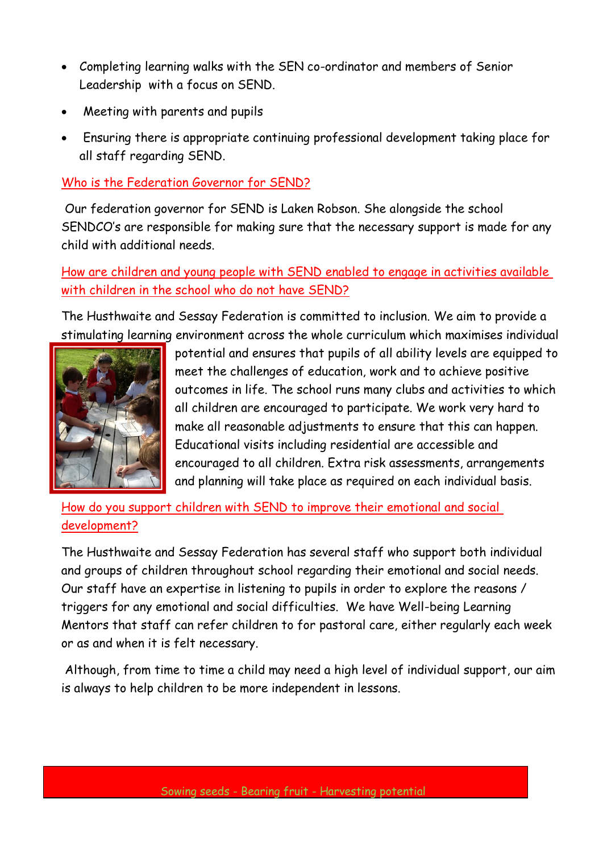- Completing learning walks with the SEN co-ordinator and members of Senior Leadership with a focus on SEND.
- Meeting with parents and pupils
- Ensuring there is appropriate continuing professional development taking place for all staff regarding SEND.

Who is the Federation Governor for SEND?

Our federation governor for SEND is Laken Robson. She alongside the school SENDCO's are responsible for making sure that the necessary support is made for any child with additional needs.

## How are children and young people with SEND enabled to engage in activities available with children in the school who do not have SEND?

The Husthwaite and Sessay Federation is committed to inclusion. We aim to provide a stimulating learning environment across the whole curriculum which maximises individual



potential and ensures that pupils of all ability levels are equipped to meet the challenges of education, work and to achieve positive outcomes in life. The school runs many clubs and activities to which all children are encouraged to participate. We work very hard to make all reasonable adjustments to ensure that this can happen. Educational visits including residential are accessible and encouraged to all children. Extra risk assessments, arrangements and planning will take place as required on each individual basis.

How do you support children with SEND to improve their emotional and social development?

The Husthwaite and Sessay Federation has several staff who support both individual and groups of children throughout school regarding their emotional and social needs. Our staff have an expertise in listening to pupils in order to explore the reasons / triggers for any emotional and social difficulties. We have Well-being Learning Mentors that staff can refer children to for pastoral care, either regularly each week or as and when it is felt necessary.

Although, from time to time a child may need a high level of individual support, our aim is always to help children to be more independent in lessons.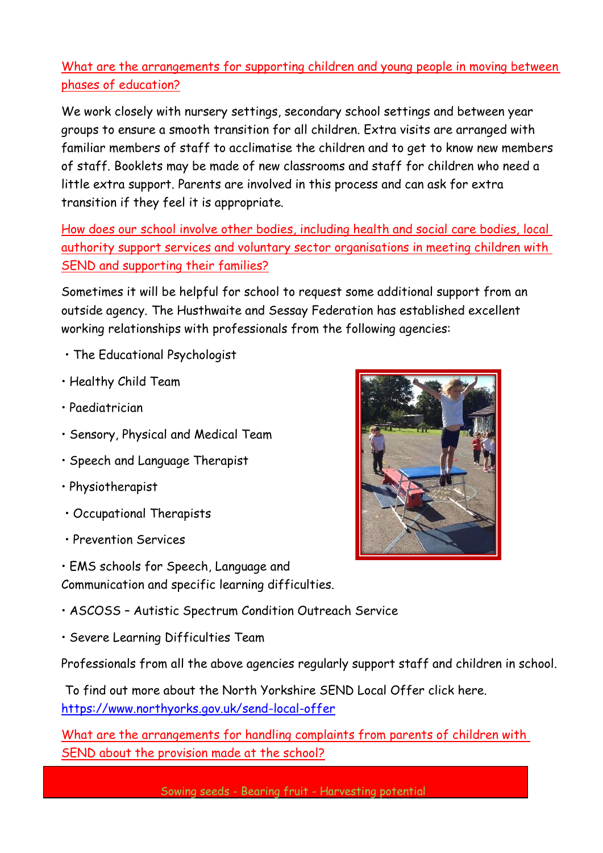# What are the arrangements for supporting children and young people in moving between phases of education?

We work closely with nursery settings, secondary school settings and between year groups to ensure a smooth transition for all children. Extra visits are arranged with familiar members of staff to acclimatise the children and to get to know new members of staff. Booklets may be made of new classrooms and staff for children who need a little extra support. Parents are involved in this process and can ask for extra transition if they feel it is appropriate.

How does our school involve other bodies, including health and social care bodies, local authority support services and voluntary sector organisations in meeting children with SEND and supporting their families?

Sometimes it will be helpful for school to request some additional support from an outside agency. The Husthwaite and Sessay Federation has established excellent working relationships with professionals from the following agencies:

- The Educational Psychologist
- Healthy Child Team
- Paediatrician
- Sensory, Physical and Medical Team
- Speech and Language Therapist
- Physiotherapist
- Occupational Therapists
- Prevention Services
- EMS schools for Speech, Language and



- ASCOSS Autistic Spectrum Condition Outreach Service
- Severe Learning Difficulties Team

Professionals from all the above agencies regularly support staff and children in school.

To find out more about the North Yorkshire SEND Local Offer click here. <https://www.northyorks.gov.uk/send-local-offer>

What are the arrangements for handling complaints from parents of children with SEND about the provision made at the school?